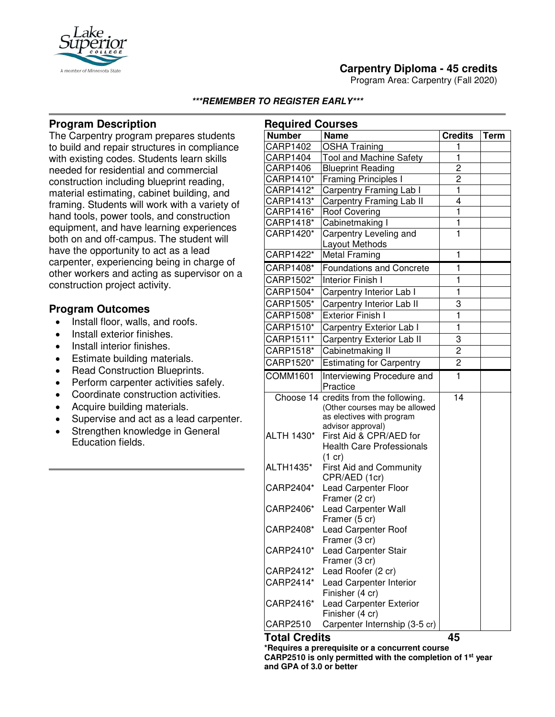

Program Area: Carpentry (Fall 2020)



## **Program Description**

The Carpentry program prepares students to build and repair structures in compliance with existing codes. Students learn skills needed for residential and commercial construction including blueprint reading, material estimating, cabinet building, and framing. Students will work with a variety of hand tools, power tools, and construction equipment, and have learning experiences both on and off-campus. The student will have the opportunity to act as a lead carpenter, experiencing being in charge of other workers and acting as supervisor on a construction project activity.

#### **Program Outcomes**

- Install floor, walls, and roofs.
- Install exterior finishes.
- Install interior finishes.
- Estimate building materials.
- Read Construction Blueprints.
- Perform carpenter activities safely.
- Coordinate construction activities.
- Acquire building materials.
- Supervise and act as a lead carpenter.
- Strengthen knowledge in General Education fields.

| <b>Required Courses</b> |                                                    |                         |             |
|-------------------------|----------------------------------------------------|-------------------------|-------------|
| <b>Number</b>           | <b>Name</b>                                        | <b>Credits</b>          | <b>Term</b> |
| <b>CARP1402</b>         | <b>OSHA Training</b>                               | 1                       |             |
| CARP1404                | <b>Tool and Machine Safety</b>                     | $\overline{\mathbf{1}}$ |             |
| <b>CARP1406</b>         | <b>Blueprint Reading</b>                           | $\overline{c}$          |             |
| CARP1410*               | <b>Framing Principles I</b>                        | $\overline{c}$          |             |
| CARP1412*               | Carpentry Framing Lab I                            | $\overline{\mathbf{1}}$ |             |
| CARP1413*               | Carpentry Framing Lab II                           | $\overline{4}$          |             |
| CARP1416*               | <b>Roof Covering</b>                               | $\overline{\mathbf{1}}$ |             |
| CARP1418*               | Cabinetmaking I                                    | $\overline{\mathbf{1}}$ |             |
| CARP1420*               | Carpentry Leveling and                             | $\overline{1}$          |             |
|                         | Layout Methods                                     |                         |             |
| CARP1422*               | <b>Metal Framing</b>                               | 1                       |             |
| CARP1408*               | <b>Foundations and Concrete</b>                    | 1                       |             |
| CARP1502*               | <b>Interior Finish I</b>                           | 1                       |             |
| CARP1504*               | Carpentry Interior Lab I                           | $\mathbf{1}$            |             |
| CARP1505*               | Carpentry Interior Lab II                          | 3                       |             |
| CARP1508*               | <b>Exterior Finish I</b>                           | 1                       |             |
| CARP1510*               | Carpentry Exterior Lab I                           | $\overline{1}$          |             |
| CARP1511*               | <b>Carpentry Exterior Lab II</b>                   | 3                       |             |
| CARP1518*               | Cabinetmaking II                                   | 2                       |             |
| CARP1520*               | <b>Estimating for Carpentry</b>                    | $\overline{c}$          |             |
| <b>COMM1601</b>         | Interviewing Procedure and                         | $\mathbf{1}$            |             |
|                         | Practice                                           |                         |             |
|                         | Choose 14 credits from the following.              | 14                      |             |
|                         | (Other courses may be allowed                      |                         |             |
|                         | as electives with program                          |                         |             |
|                         | advisor approval)<br>First Aid & CPR/AED for       |                         |             |
| ALTH 1430*              | <b>Health Care Professionals</b>                   |                         |             |
|                         |                                                    |                         |             |
| ALTH1435*               | $(1 \text{ cr})$<br><b>First Aid and Community</b> |                         |             |
|                         | CPR/AED (1cr)                                      |                         |             |
| CARP2404*               | <b>Lead Carpenter Floor</b>                        |                         |             |
|                         | Framer (2 cr)                                      |                         |             |
| CARP2406*               | Lead Carpenter Wall                                |                         |             |
|                         | Framer (5 cr)                                      |                         |             |
| CARP2408*               | Lead Carpenter Roof                                |                         |             |
|                         | Framer (3 cr)                                      |                         |             |
| CARP2410*               | Lead Carpenter Stair                               |                         |             |
|                         | Framer (3 cr)                                      |                         |             |
| CARP2412*               | Lead Roofer (2 cr)                                 |                         |             |
| CARP2414*               | Lead Carpenter Interior                            |                         |             |
|                         | Finisher (4 cr)                                    |                         |             |
| CARP2416*               | <b>Lead Carpenter Exterior</b><br>Finisher (4 cr)  |                         |             |
| CARP2510                | Carpenter Internship (3-5 cr)                      |                         |             |
| <b>Total Credits</b>    |                                                    | 45                      |             |

**\*Requires a prerequisite or a concurrent course CARP2510 is only permitted with the completion of 1st year and GPA of 3.0 or better**

# A member of Minnesota Sta